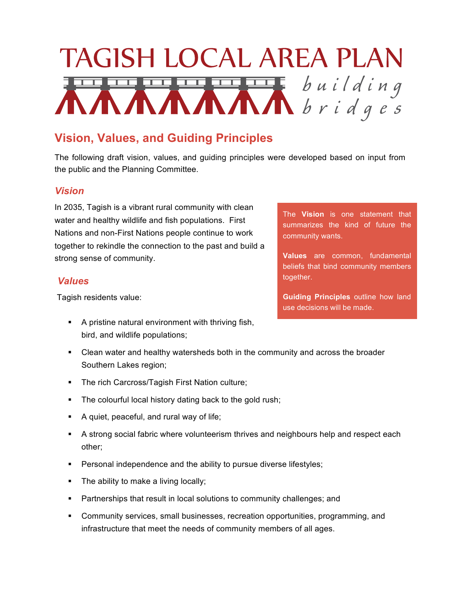# TAGISH LOCAL AREA PLAN **KANANANAN** building

## **Vision, Values, and Guiding Principles**

The following draft vision, values, and guiding principles were developed based on input from the public and the Planning Committee.

#### *Vision*

In 2035, Tagish is a vibrant rural community with clean water and healthy wildlife and fish populations. First Nations and non-First Nations people continue to work together to rekindle the connection to the past and build a strong sense of community.

#### *Values*

Tagish residents value:

- § A pristine natural environment with thriving fish, bird, and wildlife populations;
- Clean water and healthy watersheds both in the community and across the broader Southern Lakes region;
- § The rich Carcross/Tagish First Nation culture;
- The colourful local history dating back to the gold rush;
- § A quiet, peaceful, and rural way of life;
- § A strong social fabric where volunteerism thrives and neighbours help and respect each other;
- Personal independence and the ability to pursue diverse lifestyles;
- The ability to make a living locally;
- Partnerships that result in local solutions to community challenges; and
- § Community services, small businesses, recreation opportunities, programming, and infrastructure that meet the needs of community members of all ages.

The **Vision** is one statement that summarizes the kind of future the community wants.

**Values** are common, fundamental beliefs that bind community members together.

**Guiding Principles** outline how land use decisions will be made.